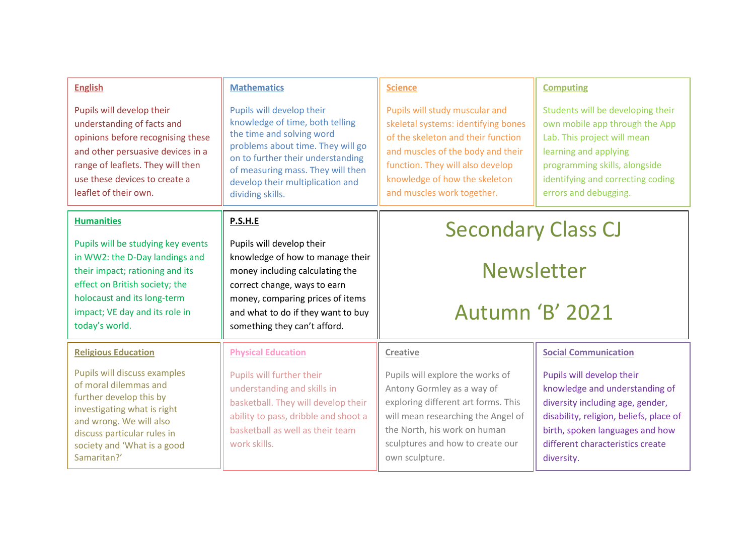| <b>English</b><br>Pupils will develop their<br>understanding of facts and<br>opinions before recognising these<br>and other persuasive devices in a<br>range of leaflets. They will then<br>use these devices to create a<br>leaflet of their own.    | <b>Mathematics</b><br>Pupils will develop their<br>knowledge of time, both telling<br>the time and solving word<br>problems about time. They will go<br>on to further their understanding<br>of measuring mass. They will then<br>develop their multiplication and<br>dividing skills. | <b>Science</b><br>Pupils will study muscular and<br>skeletal systems: identifying bones<br>of the skeleton and their function<br>and muscles of the body and their<br>function. They will also develop<br>knowledge of how the skeleton<br>and muscles work together. | <b>Computing</b><br>Students will be developing their<br>own mobile app through the App<br>Lab. This project will mean<br>learning and applying<br>programming skills, alongside<br>identifying and correcting coding<br>errors and debugging.                 |
|-------------------------------------------------------------------------------------------------------------------------------------------------------------------------------------------------------------------------------------------------------|----------------------------------------------------------------------------------------------------------------------------------------------------------------------------------------------------------------------------------------------------------------------------------------|-----------------------------------------------------------------------------------------------------------------------------------------------------------------------------------------------------------------------------------------------------------------------|----------------------------------------------------------------------------------------------------------------------------------------------------------------------------------------------------------------------------------------------------------------|
| <b>Humanities</b><br>Pupils will be studying key events<br>in WW2: the D-Day landings and<br>their impact; rationing and its<br>effect on British society; the<br>holocaust and its long-term<br>impact; VE day and its role in<br>today's world.     | P.S.H.E<br>Pupils will develop their<br>knowledge of how to manage their<br>money including calculating the<br>correct change, ways to earn<br>money, comparing prices of items<br>and what to do if they want to buy<br>something they can't afford.                                  | <b>Secondary Class CJ</b><br><b>Newsletter</b><br><b>Autumn 'B' 2021</b>                                                                                                                                                                                              |                                                                                                                                                                                                                                                                |
| <b>Religious Education</b><br>Pupils will discuss examples<br>of moral dilemmas and<br>further develop this by<br>investigating what is right<br>and wrong. We will also<br>discuss particular rules in<br>society and 'What is a good<br>Samaritan?' | <b>Physical Education</b><br>Pupils will further their<br>understanding and skills in<br>basketball. They will develop their<br>ability to pass, dribble and shoot a<br>basketball as well as their team<br>work skills.                                                               | <b>Creative</b><br>Pupils will explore the works of<br>Antony Gormley as a way of<br>exploring different art forms. This<br>will mean researching the Angel of<br>the North, his work on human<br>sculptures and how to create our<br>own sculpture.                  | <b>Social Communication</b><br>Pupils will develop their<br>knowledge and understanding of<br>diversity including age, gender,<br>disability, religion, beliefs, place of<br>birth, spoken languages and how<br>different characteristics create<br>diversity. |